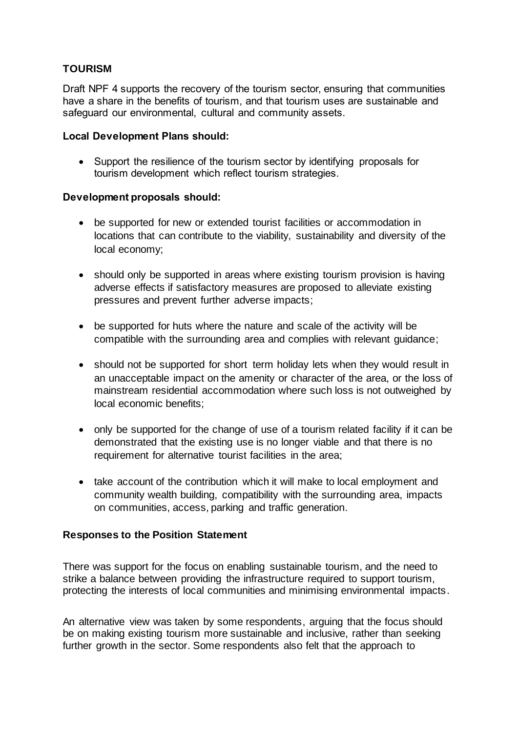# **TOURISM**

Draft NPF 4 supports the recovery of the tourism sector, ensuring that communities have a share in the benefits of tourism, and that tourism uses are sustainable and safeguard our environmental, cultural and community assets.

### **Local Development Plans should:**

• Support the resilience of the tourism sector by identifying proposals for tourism development which reflect tourism strategies.

## **Development proposals should:**

- be supported for new or extended tourist facilities or accommodation in locations that can contribute to the viability, sustainability and diversity of the local economy;
- should only be supported in areas where existing tourism provision is having adverse effects if satisfactory measures are proposed to alleviate existing pressures and prevent further adverse impacts;
- be supported for huts where the nature and scale of the activity will be compatible with the surrounding area and complies with relevant guidance;
- should not be supported for short term holiday lets when they would result in an unacceptable impact on the amenity or character of the area, or the loss of mainstream residential accommodation where such loss is not outweighed by local economic benefits;
- only be supported for the change of use of a tourism related facility if it can be demonstrated that the existing use is no longer viable and that there is no requirement for alternative tourist facilities in the area;
- take account of the contribution which it will make to local employment and community wealth building, compatibility with the surrounding area, impacts on communities, access, parking and traffic generation.

### **Responses to the Position Statement**

There was support for the focus on enabling sustainable tourism, and the need to strike a balance between providing the infrastructure required to support tourism, protecting the interests of local communities and minimising environmental impacts.

An alternative view was taken by some respondents, arguing that the focus should be on making existing tourism more sustainable and inclusive, rather than seeking further growth in the sector. Some respondents also felt that the approach to